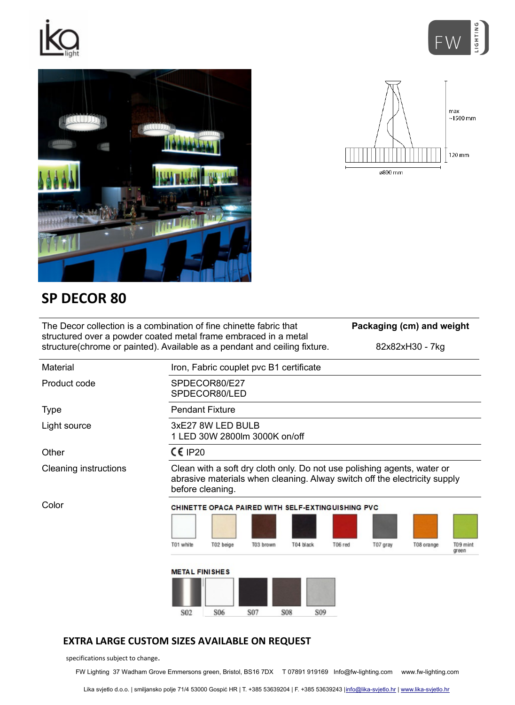



max  $~1500$  mm

 $120 \text{ mm}$ 

 $\frac{1}{2800}$  mm



## **SP DECOR 80**

| The Decor collection is a combination of fine chinette fabric that<br>structured over a powder coated metal frame embraced in a metal<br>structure (chrome or painted). Available as a pendant and ceiling fixture. |                                                                                                                                                                          |                                |                                         |            |                 | Packaging (cm) and weight |          |                 |                               |
|---------------------------------------------------------------------------------------------------------------------------------------------------------------------------------------------------------------------|--------------------------------------------------------------------------------------------------------------------------------------------------------------------------|--------------------------------|-----------------------------------------|------------|-----------------|---------------------------|----------|-----------------|-------------------------------|
|                                                                                                                                                                                                                     |                                                                                                                                                                          |                                |                                         |            |                 |                           |          | 82x82xH30 - 7kg |                               |
| Material                                                                                                                                                                                                            |                                                                                                                                                                          |                                | Iron, Fabric couplet pvc B1 certificate |            |                 |                           |          |                 |                               |
| Product code                                                                                                                                                                                                        |                                                                                                                                                                          | SPDECOR80/E27<br>SPDECOR80/LED |                                         |            |                 |                           |          |                 |                               |
| Type                                                                                                                                                                                                                | <b>Pendant Fixture</b>                                                                                                                                                   |                                |                                         |            |                 |                           |          |                 |                               |
| Light source                                                                                                                                                                                                        | 3xE27 8W LED BULB<br>1 LED 30W 2800lm 3000K on/off                                                                                                                       |                                |                                         |            |                 |                           |          |                 |                               |
| Other                                                                                                                                                                                                               | $CE$ IP20                                                                                                                                                                |                                |                                         |            |                 |                           |          |                 |                               |
| <b>Cleaning instructions</b>                                                                                                                                                                                        | Clean with a soft dry cloth only. Do not use polishing agents, water or<br>abrasive materials when cleaning. Alway switch off the electricity supply<br>before cleaning. |                                |                                         |            |                 |                           |          |                 |                               |
| Color                                                                                                                                                                                                               | <b>CHINETTE OPACA PAIRED WITH SELF-EXTINGUISHING PVC</b>                                                                                                                 |                                |                                         |            |                 |                           |          |                 |                               |
|                                                                                                                                                                                                                     | T01 white                                                                                                                                                                | T02 beige                      | T03 brown                               | T04 black  |                 | T06 red                   | T07 gray | T08 orange      | T <sub>09</sub> mint<br>areen |
|                                                                                                                                                                                                                     | <b>METAL FINISHES</b>                                                                                                                                                    |                                |                                         |            |                 |                           |          |                 |                               |
|                                                                                                                                                                                                                     | S <sub>02</sub>                                                                                                                                                          | S <sub>06</sub>                | S <sub>07</sub>                         | <b>S08</b> | S <sub>09</sub> |                           |          |                 |                               |

## **EXTRA LARGE CUSTOM SIZES AVAILABLE ON REQUEST**

specifications subject to change.

FW Lighting 37 Wadham Grove Emmersons green, Bristol, BS16 7DX T 07891 919169 Info@fw-lighting.com www.fw-lighting.com

Lika svjetlo d.o.o. | smiljansko polje 71/4 53000 Gospić HR | T. +385 53639204 | F. +385 53639243 |info@lika-svjetlo.hr | www.lika-svjetlo.hr